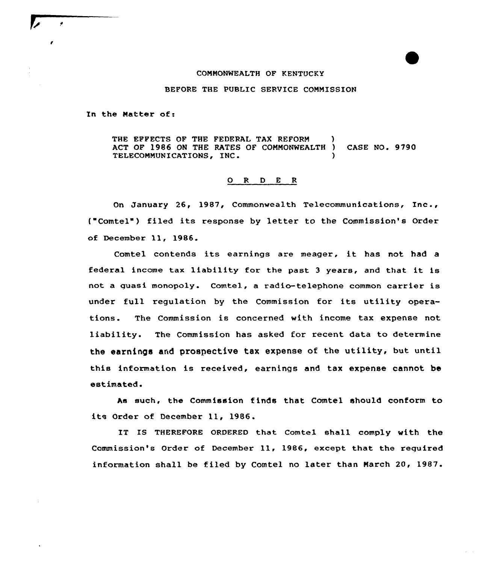## COMMONWEALTH OF KENTUCKY

## BEFORE THE PUBLIC SERVICE COMMISSION

In the Natter of:

THE EFFECTS OF THE FEDERAL TAX REFORM ACT OF 1986 ON THE RATES OF COMMONWEALTH ) CASE NO. 9790 TELECOMMUNICATIONS, INC.

## 0 <sup>R</sup> <sup>D</sup> E <sup>R</sup>

On January 26, 1987, Commonwealth Telecommunications, Inc., ("Comtel") filed its response by letter to the Commission's Order of December 11, 1986.

Comtel contends its earnings are meager, it has not had <sup>a</sup> federal income tax liability for the past <sup>3</sup> years, and that it is not a guasi monopoly. Comtel, a radio-telephone common carrier is under full regulation by the Commission for its utility operations. The Commission is concerned with income tax expense not liability. The Commission has asked for recent data to determine the earnings and prospective tax expense of the utility, but until this information is received, earnings and tax expense cannot be estimated.

As such, the Commission finds that Comtel should conform to its Order of December 11, 1986.

IT IS THEREFORE ORDERED that Comtel shall comply with the Commission's Order of December 11, 1986, except that the required information shall be filed by Comtel no later than March 20, 1987.